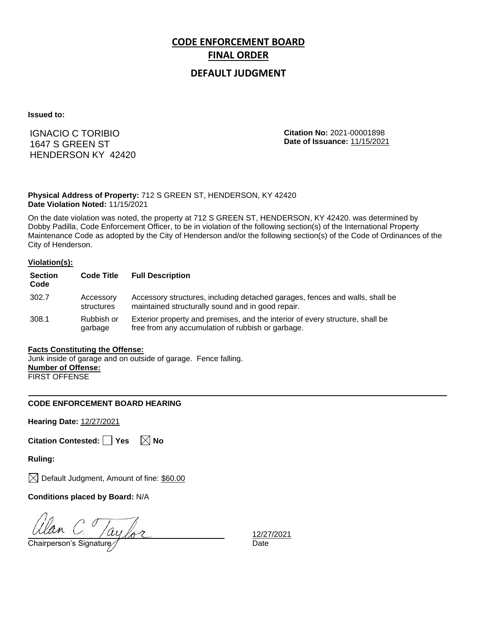## **DEFAULT JUDGMENT**

**Issued to:**

IGNACIO C TORIBIO 1647 S GREEN ST HENDERSON KY 42420 **Citation No:** 2021-00001898 **Date of Issuance:** 11/15/2021

**Physical Address of Property:** 712 S GREEN ST, HENDERSON, KY 42420 **Date Violation Noted:** 11/15/2021

On the date violation was noted, the property at 712 S GREEN ST, HENDERSON, KY 42420. was determined by Dobby Padilla, Code Enforcement Officer, to be in violation of the following section(s) of the International Property Maintenance Code as adopted by the City of Henderson and/or the following section(s) of the Code of Ordinances of the City of Henderson.

#### **Violation(s):**

| <b>Section</b><br>Code | <b>Code Title</b>       | <b>Full Description</b>                                                                                                            |
|------------------------|-------------------------|------------------------------------------------------------------------------------------------------------------------------------|
| 302.7                  | Accessory<br>structures | Accessory structures, including detached garages, fences and walls, shall be<br>maintained structurally sound and in good repair.  |
| 308.1                  | Rubbish or<br>garbage   | Exterior property and premises, and the interior of every structure, shall be<br>free from any accumulation of rubbish or garbage. |

### **Facts Constituting the Offense:**

Junk inside of garage and on outside of garage. Fence falling. **Number of Offense:** FIRST OFFENSE

### **CODE ENFORCEMENT BOARD HEARING**

**Hearing Date:** 12/27/2021

**Citation Contested:** Yes  $\boxtimes$  No

**Ruling:**

 $\bowtie$  Default Judgment, Amount of fine: \$60.00

**Conditions placed by Board:** N/A

 $G = \frac{C_0}{222}$ <br>Chairperson's Signature  $\frac{12/27}{2}$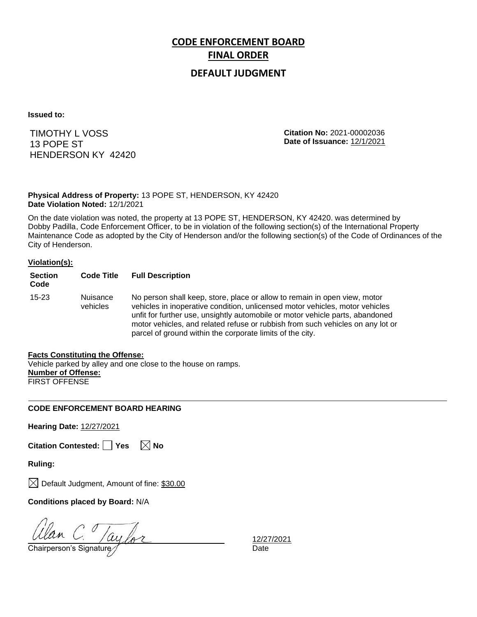## **DEFAULT JUDGMENT**

**Issued to:**

TIMOTHY L VOSS 13 POPE ST HENDERSON KY 42420 **Citation No:** 2021-00002036 **Date of Issuance:** 12/1/2021

**Physical Address of Property:** 13 POPE ST, HENDERSON, KY 42420 **Date Violation Noted:** 12/1/2021

On the date violation was noted, the property at 13 POPE ST, HENDERSON, KY 42420. was determined by Dobby Padilla, Code Enforcement Officer, to be in violation of the following section(s) of the International Property Maintenance Code as adopted by the City of Henderson and/or the following section(s) of the Code of Ordinances of the City of Henderson.

### **Violation(s):**

| <b>Section</b><br>Code | <b>Code Title</b>    | <b>Full Description</b>                                                                                                                                                                                                                                                                                                                                                                   |
|------------------------|----------------------|-------------------------------------------------------------------------------------------------------------------------------------------------------------------------------------------------------------------------------------------------------------------------------------------------------------------------------------------------------------------------------------------|
| $15 - 23$              | Nuisance<br>vehicles | No person shall keep, store, place or allow to remain in open view, motor<br>vehicles in inoperative condition, unlicensed motor vehicles, motor vehicles<br>unfit for further use, unsightly automobile or motor vehicle parts, abandoned<br>motor vehicles, and related refuse or rubbish from such vehicles on any lot or<br>parcel of ground within the corporate limits of the city. |

### **Facts Constituting the Offense:**

Vehicle parked by alley and one close to the house on ramps. **Number of Offense:** FIRST OFFENSE

### **CODE ENFORCEMENT BOARD HEARING**

**Hearing Date:** 12/27/2021

|  | Citation Contested: □ Yes |  | $\boxtimes$ No |
|--|---------------------------|--|----------------|
|--|---------------------------|--|----------------|

**Ruling:**

 $\boxtimes$  Default Judgment, Amount of fine: \$30.00

**Conditions placed by Board:** N/A

 $\frac{U$ lan C.  $/ay$  for  $\frac{12/27}{\text{Chairperson's Signature}}$  and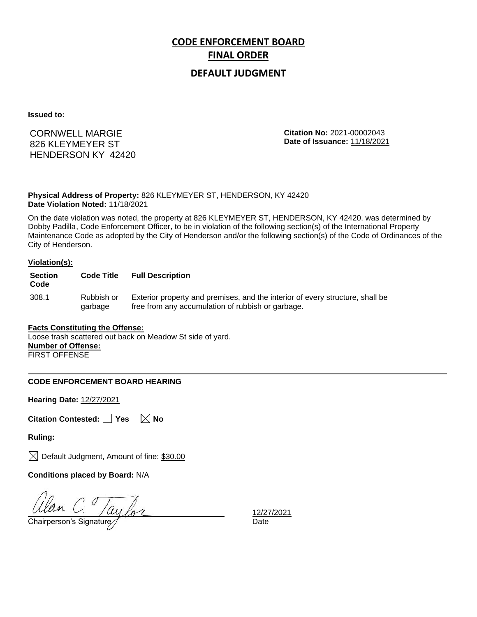## **DEFAULT JUDGMENT**

**Issued to:**

CORNWELL MARGIE 826 KLEYMEYER ST HENDERSON KY 42420 **Citation No:** 2021-00002043 **Date of Issuance:** 11/18/2021

**Physical Address of Property:** 826 KLEYMEYER ST, HENDERSON, KY 42420 **Date Violation Noted:** 11/18/2021

On the date violation was noted, the property at 826 KLEYMEYER ST, HENDERSON, KY 42420. was determined by Dobby Padilla, Code Enforcement Officer, to be in violation of the following section(s) of the International Property Maintenance Code as adopted by the City of Henderson and/or the following section(s) of the Code of Ordinances of the City of Henderson.

#### **Violation(s):**

| <b>Section</b><br>Code | <b>Code Title</b>     | <b>Full Description</b>                                                                                                            |
|------------------------|-----------------------|------------------------------------------------------------------------------------------------------------------------------------|
| 308.1                  | Rubbish or<br>garbage | Exterior property and premises, and the interior of every structure, shall be<br>free from any accumulation of rubbish or garbage. |

### **Facts Constituting the Offense:**

Loose trash scattered out back on Meadow St side of yard. **Number of Offense:** FIRST OFFENSE

### **CODE ENFORCEMENT BOARD HEARING**

**Hearing Date:** 12/27/2021

**Citation Contested:** Yes  $\boxtimes$  No

**Ruling:**

 $\boxtimes$  Default Judgment, Amount of fine: \$30.00

**Conditions placed by Board:** N/A

 $\frac{d}{d}$ C.  $\frac{1}{227}$ <br>Chairperson's Signature  $\frac{12}{27}$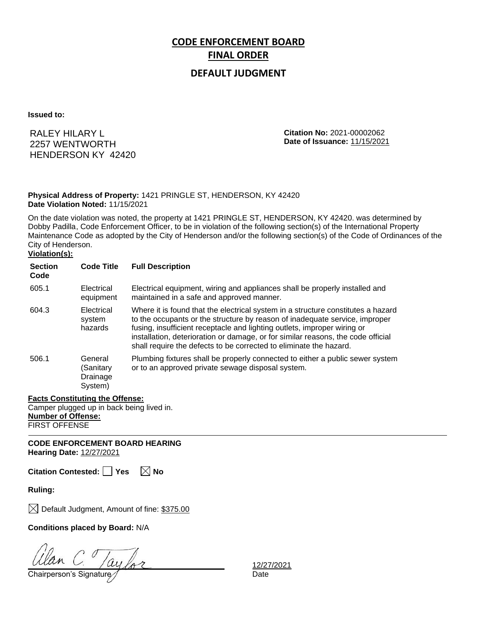## **DEFAULT JUDGMENT**

**Issued to:**

RALEY HILARY L 2257 WENTWORTH HENDERSON KY 42420 **Citation No:** 2021-00002062 **Date of Issuance:** 11/15/2021

### **Physical Address of Property:** 1421 PRINGLE ST, HENDERSON, KY 42420 **Date Violation Noted:** 11/15/2021

On the date violation was noted, the property at 1421 PRINGLE ST, HENDERSON, KY 42420. was determined by Dobby Padilla, Code Enforcement Officer, to be in violation of the following section(s) of the International Property Maintenance Code as adopted by the City of Henderson and/or the following section(s) of the Code of Ordinances of the City of Henderson.

## **Violation(s):**

| <b>Section</b><br>Code | <b>Code Title</b>                           | <b>Full Description</b>                                                                                                                                                                                                                                                                                                                                                                               |
|------------------------|---------------------------------------------|-------------------------------------------------------------------------------------------------------------------------------------------------------------------------------------------------------------------------------------------------------------------------------------------------------------------------------------------------------------------------------------------------------|
| 605.1                  | Electrical<br>equipment                     | Electrical equipment, wiring and appliances shall be properly installed and<br>maintained in a safe and approved manner.                                                                                                                                                                                                                                                                              |
| 604.3                  | Electrical<br>system<br>hazards             | Where it is found that the electrical system in a structure constitutes a hazard<br>to the occupants or the structure by reason of inadequate service, improper<br>fusing, insufficient receptacle and lighting outlets, improper wiring or<br>installation, deterioration or damage, or for similar reasons, the code official<br>shall require the defects to be corrected to eliminate the hazard. |
| 506.1                  | General<br>(Sanitary<br>Drainage<br>System) | Plumbing fixtures shall be properly connected to either a public sewer system<br>or to an approved private sewage disposal system.                                                                                                                                                                                                                                                                    |

### **Facts Constituting the Offense:**

Camper plugged up in back being lived in. **Number of Offense:** FIRST OFFENSE

**CODE ENFORCEMENT BOARD HEARING Hearing Date:** 12/27/2021

**Citation Contested: Yes No**

**Ruling:**

 $\boxtimes$  Default Judgment, Amount of fine: \$375.00

**Conditions placed by Board:** N/A

Chairperson's Signature Manuscription Chairperson's Signature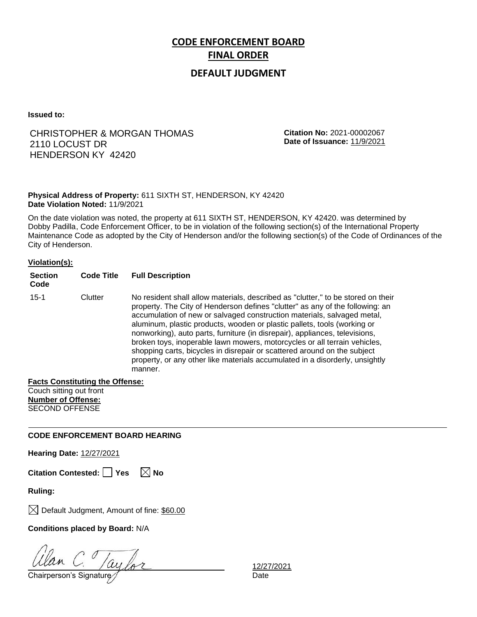## **DEFAULT JUDGMENT**

**Issued to:**

## CHRISTOPHER & MORGAN THOMAS 2110 LOCUST DR HENDERSON KY 42420

**Citation No:** 2021-00002067 **Date of Issuance:** 11/9/2021

### **Physical Address of Property:** 611 SIXTH ST, HENDERSON, KY 42420 **Date Violation Noted:** 11/9/2021

On the date violation was noted, the property at 611 SIXTH ST, HENDERSON, KY 42420. was determined by Dobby Padilla, Code Enforcement Officer, to be in violation of the following section(s) of the International Property Maintenance Code as adopted by the City of Henderson and/or the following section(s) of the Code of Ordinances of the City of Henderson.

### **Violation(s):**

| <b>Section</b><br>Code | <b>Code Title</b> | <b>Full Description</b>                                                                                                                                                                                                                                                                                                                                                                                                                                                                                                                                                                                                                                     |
|------------------------|-------------------|-------------------------------------------------------------------------------------------------------------------------------------------------------------------------------------------------------------------------------------------------------------------------------------------------------------------------------------------------------------------------------------------------------------------------------------------------------------------------------------------------------------------------------------------------------------------------------------------------------------------------------------------------------------|
| $15 - 1$               | Clutter           | No resident shall allow materials, described as "clutter," to be stored on their<br>property. The City of Henderson defines "clutter" as any of the following: an<br>accumulation of new or salvaged construction materials, salvaged metal,<br>aluminum, plastic products, wooden or plastic pallets, tools (working or<br>nonworking), auto parts, furniture (in disrepair), appliances, televisions,<br>broken toys, inoperable lawn mowers, motorcycles or all terrain vehicles,<br>shopping carts, bicycles in disrepair or scattered around on the subject<br>property, or any other like materials accumulated in a disorderly, unsightly<br>manner. |

#### **Facts Constituting the Offense:**

Couch sitting out front **Number of Offense:** SECOND OFFENSE

### **CODE ENFORCEMENT BOARD HEARING**

**Hearing Date:** 12/27/2021

**Citation Contested:** □ Yes  $\ \ \mathbb{\times}$  No

**Ruling:**

 $\boxtimes$  Default Judgment, Amount of fine: \$60.00

**Conditions placed by Board:** N/A

Chairperson's Signature *Date* Date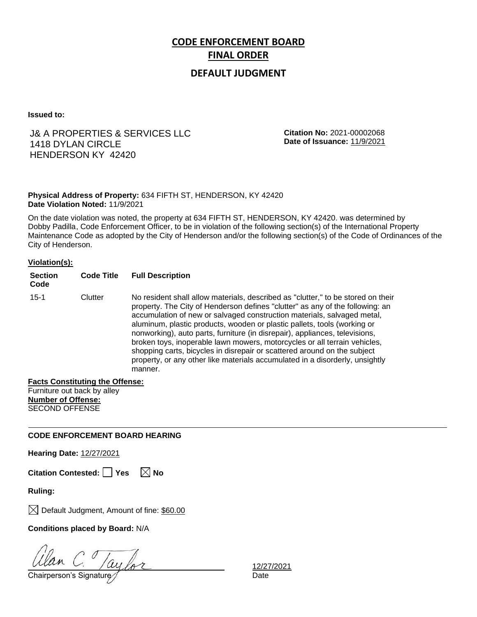## **DEFAULT JUDGMENT**

**Issued to:**

## J& A PROPERTIES & SERVICES LLC 1418 DYLAN CIRCLE HENDERSON KY 42420

**Citation No:** 2021-00002068 **Date of Issuance:** 11/9/2021

### **Physical Address of Property:** 634 FIFTH ST, HENDERSON, KY 42420 **Date Violation Noted:** 11/9/2021

On the date violation was noted, the property at 634 FIFTH ST, HENDERSON, KY 42420. was determined by Dobby Padilla, Code Enforcement Officer, to be in violation of the following section(s) of the International Property Maintenance Code as adopted by the City of Henderson and/or the following section(s) of the Code of Ordinances of the City of Henderson.

### **Violation(s):**

| <b>Section</b><br>Code | <b>Code Title</b> | <b>Full Description</b>                                                                                                                                                                                                                                                                                                                                                                                                                                                                                                                                                                                                                                     |
|------------------------|-------------------|-------------------------------------------------------------------------------------------------------------------------------------------------------------------------------------------------------------------------------------------------------------------------------------------------------------------------------------------------------------------------------------------------------------------------------------------------------------------------------------------------------------------------------------------------------------------------------------------------------------------------------------------------------------|
| $15 - 1$               | Clutter           | No resident shall allow materials, described as "clutter," to be stored on their<br>property. The City of Henderson defines "clutter" as any of the following: an<br>accumulation of new or salvaged construction materials, salvaged metal,<br>aluminum, plastic products, wooden or plastic pallets, tools (working or<br>nonworking), auto parts, furniture (in disrepair), appliances, televisions,<br>broken toys, inoperable lawn mowers, motorcycles or all terrain vehicles,<br>shopping carts, bicycles in disrepair or scattered around on the subject<br>property, or any other like materials accumulated in a disorderly, unsightly<br>manner. |

#### **Facts Constituting the Offense:**

Furniture out back by alley **Number of Offense:** SECOND OFFENSE

### **CODE ENFORCEMENT BOARD HEARING**

**Hearing Date:** 12/27/2021

**Citation Contested:** □ Yes  $\ \ \mathbb{\times}$  No

**Ruling:**

 $\boxtimes$  Default Judgment, Amount of fine: \$60.00

**Conditions placed by Board:** N/A

Chairperson's Signature *Date* Date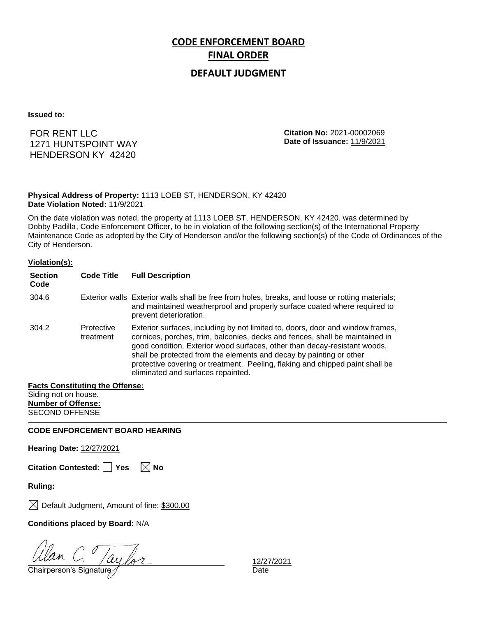## **DEFAULT JUDGMENT**

**Issued to:**

FOR RENT LLC 1271 HUNTSPOINT WAY HENDERSON KY 42420

**Citation No:** 2021-00002069 **Date of Issuance:** 11/9/2021

**Physical Address of Property:** 1113 LOEB ST, HENDERSON, KY 42420 **Date Violation Noted:** 11/9/2021

On the date violation was noted, the property at 1113 LOEB ST, HENDERSON, KY 42420. was determined by Dobby Padilla, Code Enforcement Officer, to be in violation of the following section(s) of the International Property Maintenance Code as adopted by the City of Henderson and/or the following section(s) of the Code of Ordinances of the City of Henderson.

#### **Violation(s):**

| <b>Section</b><br>Code | <b>Code Title</b>       | <b>Full Description</b>                                                                                                                                                                                                                                                                                                                                                                                                                   |
|------------------------|-------------------------|-------------------------------------------------------------------------------------------------------------------------------------------------------------------------------------------------------------------------------------------------------------------------------------------------------------------------------------------------------------------------------------------------------------------------------------------|
| 304.6                  |                         | Exterior walls Exterior walls shall be free from holes, breaks, and loose or rotting materials;<br>and maintained weatherproof and properly surface coated where required to<br>prevent deterioration.                                                                                                                                                                                                                                    |
| 304.2                  | Protective<br>treatment | Exterior surfaces, including by not limited to, doors, door and window frames,<br>cornices, porches, trim, balconies, decks and fences, shall be maintained in<br>good condition. Exterior wood surfaces, other than decay-resistant woods,<br>shall be protected from the elements and decay by painting or other<br>protective covering or treatment. Peeling, flaking and chipped paint shall be<br>eliminated and surfaces repainted. |

#### **Facts Constituting the Offense:** Siding not on house. **Number of Offense:**

SECOND OFFENSE

**CODE ENFORCEMENT BOARD HEARING**

**Hearing Date:** 12/27/2021

**Citation Contested:** □ Yes  $\ \ \mathbb{\times}$  No

**Ruling:**

 $\boxtimes$  Default Judgment, Amount of fine: \$300.00

**Conditions placed by Board:** N/A

 $\frac{d}{d}$ C.  $\frac{1}{d}$   $\frac{1}{d}$   $\frac{1}{d}$   $\frac{1}{d}$   $\frac{1}{d}$   $\frac{1}{d}$   $\frac{1}{d}$   $\frac{1}{d}$   $\frac{1}{d}$   $\frac{1}{d}$   $\frac{1}{d}$   $\frac{1}{d}$   $\frac{1}{d}$   $\frac{1}{d}$   $\frac{1}{d}$   $\frac{1}{d}$   $\frac{1}{d}$   $\frac{1}{d}$   $\frac{1}{d}$   $\frac{1}{d}$   $\frac{1}{d}$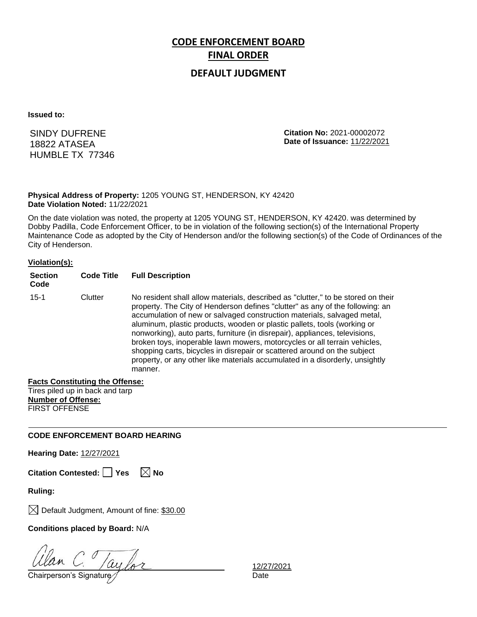## **DEFAULT JUDGMENT**

**Issued to:**

SINDY DUFRENE 18822 ATASEA HUMBLE TX 77346 **Citation No:** 2021-00002072 **Date of Issuance:** 11/22/2021

### **Physical Address of Property:** 1205 YOUNG ST, HENDERSON, KY 42420 **Date Violation Noted:** 11/22/2021

On the date violation was noted, the property at 1205 YOUNG ST, HENDERSON, KY 42420. was determined by Dobby Padilla, Code Enforcement Officer, to be in violation of the following section(s) of the International Property Maintenance Code as adopted by the City of Henderson and/or the following section(s) of the Code of Ordinances of the City of Henderson.

#### **Violation(s):**

| <b>Section</b><br>Code | <b>Code Title</b> | <b>Full Description</b>                                                                                                                                                                                                                                                                                                                                                                                                                                                                                                                                                                                                                                     |
|------------------------|-------------------|-------------------------------------------------------------------------------------------------------------------------------------------------------------------------------------------------------------------------------------------------------------------------------------------------------------------------------------------------------------------------------------------------------------------------------------------------------------------------------------------------------------------------------------------------------------------------------------------------------------------------------------------------------------|
| $15 - 1$               | Clutter           | No resident shall allow materials, described as "clutter," to be stored on their<br>property. The City of Henderson defines "clutter" as any of the following: an<br>accumulation of new or salvaged construction materials, salvaged metal,<br>aluminum, plastic products, wooden or plastic pallets, tools (working or<br>nonworking), auto parts, furniture (in disrepair), appliances, televisions,<br>broken toys, inoperable lawn mowers, motorcycles or all terrain vehicles,<br>shopping carts, bicycles in disrepair or scattered around on the subject<br>property, or any other like materials accumulated in a disorderly, unsightly<br>manner. |

### **Facts Constituting the Offense:**

Tires piled up in back and tarp **Number of Offense:** FIRST OFFENSE

### **CODE ENFORCEMENT BOARD HEARING**

**Hearing Date:** 12/27/2021

**Citation Contested:** □ Yes  $\ \ \mathbb{\times}$  No

**Ruling:**

 $\boxtimes$  Default Judgment, Amount of fine: \$30.00

**Conditions placed by Board:** N/A

Chairperson's Signature *Date* Date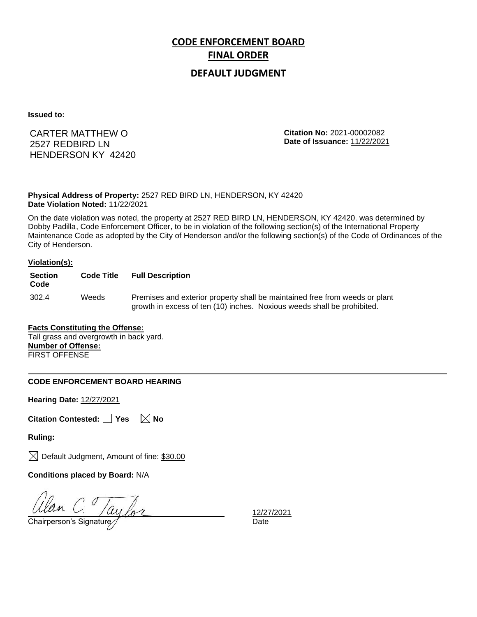## **DEFAULT JUDGMENT**

**Issued to:**

## CARTER MATTHEW O 2527 REDBIRD LN HENDERSON KY 42420

**Citation No:** 2021-00002082 **Date of Issuance:** 11/22/2021

**Physical Address of Property:** 2527 RED BIRD LN, HENDERSON, KY 42420 **Date Violation Noted:** 11/22/2021

On the date violation was noted, the property at 2527 RED BIRD LN, HENDERSON, KY 42420. was determined by Dobby Padilla, Code Enforcement Officer, to be in violation of the following section(s) of the International Property Maintenance Code as adopted by the City of Henderson and/or the following section(s) of the Code of Ordinances of the City of Henderson.

#### **Violation(s):**

| <b>Section</b><br>Code | <b>Code Title</b> | <b>Full Description</b>                                                                                                                                |
|------------------------|-------------------|--------------------------------------------------------------------------------------------------------------------------------------------------------|
| 302.4                  | Weeds             | Premises and exterior property shall be maintained free from weeds or plant<br>growth in excess of ten (10) inches. Noxious weeds shall be prohibited. |

### **Facts Constituting the Offense:**

Tall grass and overgrowth in back yard. **Number of Offense:** FIRST OFFENSE

### **CODE ENFORCEMENT BOARD HEARING**

**Hearing Date:** 12/27/2021

|  | Citation Contested: Yes |  |  | $\boxtimes$ No |  |
|--|-------------------------|--|--|----------------|--|
|--|-------------------------|--|--|----------------|--|

**Ruling:**

 $\boxtimes$  Default Judgment, Amount of fine: \$30.00

**Conditions placed by Board:** N/A

Ulan C. /aylor

12/27/2021<br>Date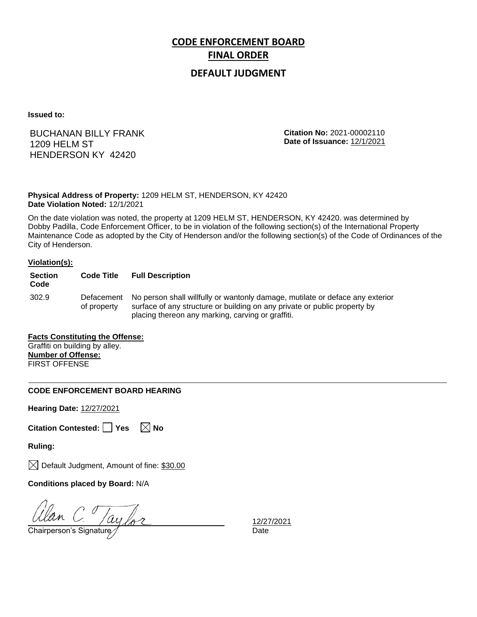## **DEFAULT JUDGMENT**

**Issued to:**

## BUCHANAN BILLY FRANK 1209 HELM ST HENDERSON KY 42420

**Citation No:** 2021-00002110 **Date of Issuance:** 12/1/2021

**Physical Address of Property:** 1209 HELM ST, HENDERSON, KY 42420 **Date Violation Noted:** 12/1/2021

On the date violation was noted, the property at 1209 HELM ST, HENDERSON, KY 42420. was determined by Dobby Padilla, Code Enforcement Officer, to be in violation of the following section(s) of the International Property Maintenance Code as adopted by the City of Henderson and/or the following section(s) of the Code of Ordinances of the City of Henderson.

#### **Violation(s):**

| <b>Section</b><br>Code | <b>Code Title</b>         | <b>Full Description</b>                                                                                                                                                                                         |
|------------------------|---------------------------|-----------------------------------------------------------------------------------------------------------------------------------------------------------------------------------------------------------------|
| 302.9                  | Defacement<br>of property | No person shall willfully or wantonly damage, mutilate or deface any exterior<br>surface of any structure or building on any private or public property by<br>placing thereon any marking, carving or graffiti. |

### **Facts Constituting the Offense:** Graffiti on building by alley.

**Number of Offense:** FIRST OFFENSE

### **CODE ENFORCEMENT BOARD HEARING**

**Hearing Date:** 12/27/2021

**Citation Contested:** □ Yes  $\ \ \boxed{\times}$  No

**Ruling:**

 $\boxtimes$  Default Judgment, Amount of fine: \$30.00

**Conditions placed by Board:** N/A

 $\frac{Ulan}{C}$   $\frac{Vay}{C}$   $\frac{12/27}{D}$   $\frac{12/27}{D}$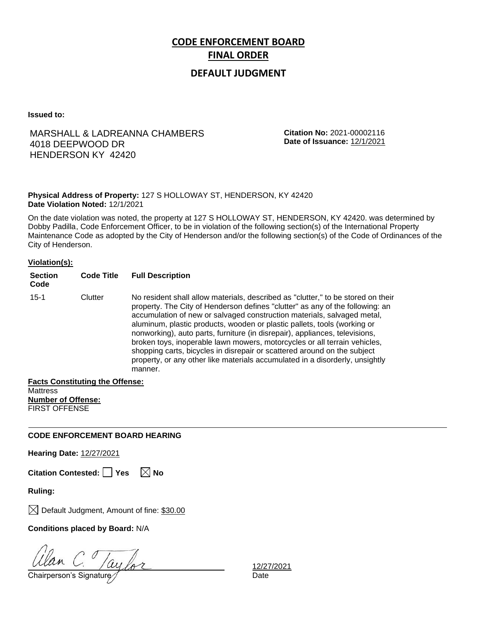## **DEFAULT JUDGMENT**

**Issued to:**

## MARSHALL & LADREANNA CHAMBERS 4018 DEEPWOOD DR HENDERSON KY 42420

**Citation No:** 2021-00002116 **Date of Issuance:** 12/1/2021

### **Physical Address of Property:** 127 S HOLLOWAY ST, HENDERSON, KY 42420 **Date Violation Noted:** 12/1/2021

On the date violation was noted, the property at 127 S HOLLOWAY ST, HENDERSON, KY 42420. was determined by Dobby Padilla, Code Enforcement Officer, to be in violation of the following section(s) of the International Property Maintenance Code as adopted by the City of Henderson and/or the following section(s) of the Code of Ordinances of the City of Henderson.

### **Violation(s):**

| <b>Section</b><br>Code | <b>Code Title</b> | <b>Full Description</b>                                                                                                                                                                                                                                                                                                                                                                                                                                                                                                                                                                                                                                     |
|------------------------|-------------------|-------------------------------------------------------------------------------------------------------------------------------------------------------------------------------------------------------------------------------------------------------------------------------------------------------------------------------------------------------------------------------------------------------------------------------------------------------------------------------------------------------------------------------------------------------------------------------------------------------------------------------------------------------------|
| $15 - 1$               | Clutter           | No resident shall allow materials, described as "clutter," to be stored on their<br>property. The City of Henderson defines "clutter" as any of the following: an<br>accumulation of new or salvaged construction materials, salvaged metal,<br>aluminum, plastic products, wooden or plastic pallets, tools (working or<br>nonworking), auto parts, furniture (in disrepair), appliances, televisions,<br>broken toys, inoperable lawn mowers, motorcycles or all terrain vehicles,<br>shopping carts, bicycles in disrepair or scattered around on the subject<br>property, or any other like materials accumulated in a disorderly, unsightly<br>manner. |

**Facts Constituting the Offense:**

**Mattress Number of Offense:** FIRST OFFENSE

### **CODE ENFORCEMENT BOARD HEARING**

**Hearing Date:** 12/27/2021

**Citation Contested:** □ Yes  $\ \ \mathbb{\times}$  No

**Ruling:**

 $\boxtimes$  Default Judgment, Amount of fine: \$30.00

**Conditions placed by Board:** N/A

Chairperson's Signature *Date* Date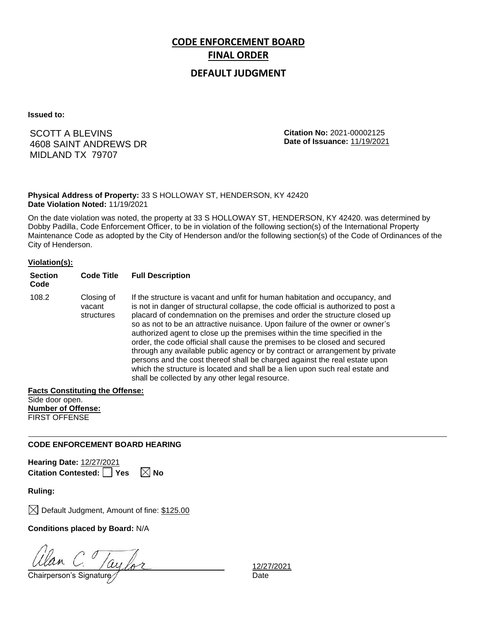## **DEFAULT JUDGMENT**

**Issued to:**

SCOTT A BLEVINS 4608 SAINT ANDREWS DR MIDLAND TX 79707

**Citation No:** 2021-00002125 **Date of Issuance:** 11/19/2021

### **Physical Address of Property:** 33 S HOLLOWAY ST, HENDERSON, KY 42420 **Date Violation Noted:** 11/19/2021

On the date violation was noted, the property at 33 S HOLLOWAY ST, HENDERSON, KY 42420. was determined by Dobby Padilla, Code Enforcement Officer, to be in violation of the following section(s) of the International Property Maintenance Code as adopted by the City of Henderson and/or the following section(s) of the Code of Ordinances of the City of Henderson.

### **Violation(s):**

| <b>Section</b><br>Code | <b>Code Title</b>                  | <b>Full Description</b>                                                                                                                                                                                                                                                                                                                                                                                                                                                                                                                                                                                                                                                                                                                                                                      |
|------------------------|------------------------------------|----------------------------------------------------------------------------------------------------------------------------------------------------------------------------------------------------------------------------------------------------------------------------------------------------------------------------------------------------------------------------------------------------------------------------------------------------------------------------------------------------------------------------------------------------------------------------------------------------------------------------------------------------------------------------------------------------------------------------------------------------------------------------------------------|
| 108.2                  | Closing of<br>vacant<br>structures | If the structure is vacant and unfit for human habitation and occupancy, and<br>is not in danger of structural collapse, the code official is authorized to post a<br>placard of condemnation on the premises and order the structure closed up<br>so as not to be an attractive nuisance. Upon failure of the owner or owner's<br>authorized agent to close up the premises within the time specified in the<br>order, the code official shall cause the premises to be closed and secured<br>through any available public agency or by contract or arrangement by private<br>persons and the cost thereof shall be charged against the real estate upon<br>which the structure is located and shall be a lien upon such real estate and<br>shall be collected by any other legal resource. |

## **Facts Constituting the Offense:**

Side door open. **Number of Offense:** FIRST OFFENSE

### **CODE ENFORCEMENT BOARD HEARING**

**Hearing Date:** 12/27/2021 **Citation Contested:** Pes  $\boxtimes$  No

**Ruling:**

 $\boxtimes$  Default Judgment, Amount of fine: \$125.00

**Conditions placed by Board:** N/A

Chairperson's Signature *Date* Date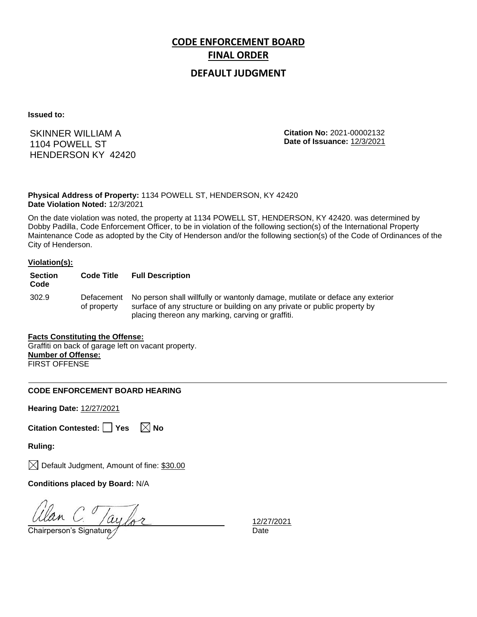## **DEFAULT JUDGMENT**

**Issued to:**

SKINNER WILLIAM A 1104 POWELL ST HENDERSON KY 42420 **Citation No:** 2021-00002132 **Date of Issuance:** 12/3/2021

**Physical Address of Property:** 1134 POWELL ST, HENDERSON, KY 42420 **Date Violation Noted:** 12/3/2021

On the date violation was noted, the property at 1134 POWELL ST, HENDERSON, KY 42420. was determined by Dobby Padilla, Code Enforcement Officer, to be in violation of the following section(s) of the International Property Maintenance Code as adopted by the City of Henderson and/or the following section(s) of the Code of Ordinances of the City of Henderson.

#### **Violation(s):**

| <b>Section</b><br>Code | <b>Code Title</b>         | <b>Full Description</b>                                                                                                                                                                                         |
|------------------------|---------------------------|-----------------------------------------------------------------------------------------------------------------------------------------------------------------------------------------------------------------|
| 302.9                  | Defacement<br>of property | No person shall willfully or wantonly damage, mutilate or deface any exterior<br>surface of any structure or building on any private or public property by<br>placing thereon any marking, carving or graffiti. |

#### **Facts Constituting the Offense:** Graffiti on back of garage left on vacant property. **Number of Offense:**

FIRST OFFENSE

### **CODE ENFORCEMENT BOARD HEARING**

**Hearing Date:** 12/27/2021

**Citation Contested:** □ Yes  $\ \ \boxed{\times}$  No

**Ruling:**

 $\boxtimes$  Default Judgment, Amount of fine: \$30.00

**Conditions placed by Board:** N/A

 $\frac{Ulan}{C}$   $\frac{Vay}{C}$   $\frac{12/27}{D}$   $\frac{12/27}{D}$